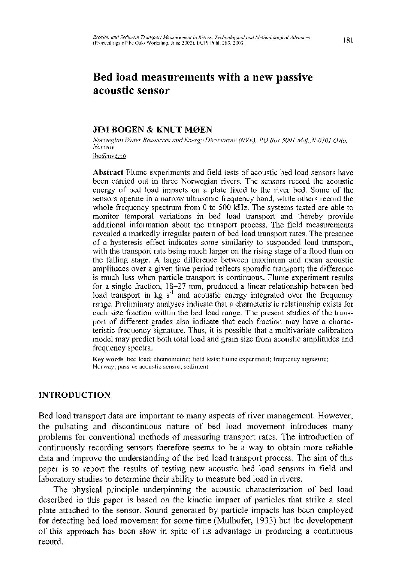# **Bed load measurements with a new passive acoustic sensor**

### **JIM BOGEN & KNUT MØEN**

*Norwegian Water Resources and Energy Directorate (NVE), PO Box 5091 Maj.,N-0301 Oslo, Norway* 

ibo@nve.no

Abstract Flume experiments and field tests of acoustic bed load sensors have been carried out in three Norwegian rivers. The sensors record the acoustic energy of bed load impacts on a plate fixed to the river bed. Some of the sensors operate in a narrow ultrasonic frequency band, while others record the whole frequency spectrum from 0 to 500 kHz. The systems tested are able to monitor temporal variations in bed load transport and thereby provide additional information about the transport process. The field measurements revealed a markedly irregular pattern of bed load transport rates. The presence of a hysteresis effect indicates some similarity to suspended load transport, with the transport rate being much larger on the rising stage of a flood than on the falling stage. A large difference between maximum and mean acoustic amplitudes over a given time period reflects sporadic transport; the difference is much less when particle transport is continuous. Flume experiment results for a single fraction, 18-27 mm, produced a linear relationship between bed load transport in  $kg s<sup>-1</sup>$  and acoustic energy integrated over the frequency range. Preliminary analyses indicate that a characteristic relationship exists for each size fraction within the bed load range. The present studies of the transport of different grades also indicate that each fraction may have a characteristic frequency signature. Thus, it is possible that a multivariate calibration model may predict both total load and grain size from acoustic amplitudes and frequency spectra.

Key words bed load; chemometric; field tests; flume experiment; frequency signature; Norway; passive acoustic sensor; sediment

### **INTRODUCTION**

Bed load transport data are important to many aspects of river management. However, the pulsating and discontinuous nature of bed load movement introduces many problems for conventional methods of measuring transport rates. The introduction of continuously recording sensors therefore seems to be a way to obtain more reliable data and improve the understanding of the bed load transport process. The aim of this paper is to report the results of testing new acoustic bed load sensors in field and laboratory studies to determine their ability to measure bed load in rivers.

The physical principle underpinning the acoustic characterization of bed load described in this paper is based on the kinetic impact of particles that strike a steel plate attached to the sensor. Sound generated by particle impacts has been employed for detecting bed load movement for some time (Mulhofer, 1933) but the development of this approach has been slow in spite of its advantage in producing a continuous record.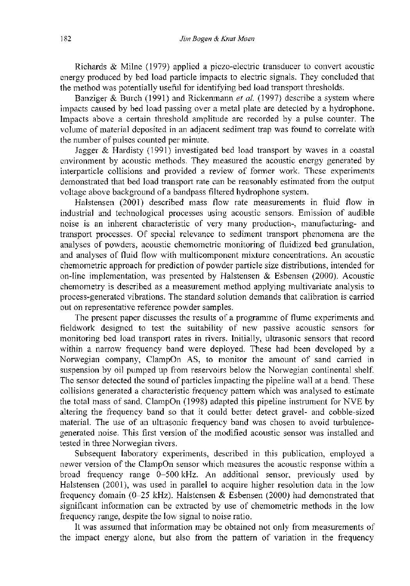Richards & Milne (1979) applied a piezo-electric transducer to convert acoustic energy produced by bed load particle impacts to electric signals. They concluded that the method was potentially useful for identifying bed load transport thresholds.

Banziger & Burch (1991) and Rickenmann *et al.* (1997) describe a system where impacts caused by bed load passing over a metal plate are detected by a hydrophone. Impacts above a certain threshold amplitude are recorded by a pulse counter. The volume of material deposited in an adjacent sediment trap was found to correlate with the number of pulses counted per minute.

Jagger & Hardisty (1991) investigated bed load transport by waves in a coastal environment by acoustic methods. They measured the acoustic energy generated by interparticle collisions and provided a review of former work. These experiments demonstrated that bed load transport rate can be reasonably estimated from the output voltage above background of a bandpass filtered hydrophone system.

Halstensen (2001) described mass flow rate measurements in fluid flow in industrial and technological processes using acoustic sensors. Emission of audible noise is an inherent characteristic of very many production-, manufacturing- and transport processes. Of special relevance to sediment transport phenomena are the analyses of powders, acoustic chemometric monitoring of fluidized bed granulation, and analyses of fluid flow with multicomponent mixture concentrations. An acoustic chemometric approach for prediction of powder particle size distributions, intended for on-line implementation, was presented by Halstensen & Esbensen (2000). Acoustic chemometry is described as a measurement method applying multivariate analysis to process-generated vibrations. The standard solution demands that calibration is carried out on representative reference powder samples.

The present paper discusses the results of a programme of flume experiments and fieldwork designed to test the suitability of new passive acoustic sensors for monitoring bed load transport rates in rivers. Initially, ultrasonic sensors that record within a narrow frequency band were deployed. These had been developed by a Norwegian company, ClampOn AS, to monitor the amount of sand carried in suspension by oil pumped up from reservoirs below the Norwegian continental shelf. The sensor detected the sound of particles impacting the pipeline wall at a bend. These collisions generated a characteristic frequency pattern which was analysed to estimate the total mass of sand. ClampOn (1998) adapted this pipeline instrument for NVE by altering the frequency band so that it could better detect gravel- and cobble-sized material. The use of an ultrasonic frequency band was chosen to avoid turbulencegenerated noise. This first version of the modified acoustic sensor was installed and tested in three Norwegian rivers.

Subsequent laboratory experiments, described in this publication, employed a newer version of the ClampOn sensor which measures the acoustic response within a broad frequency range 0-500 kHz. An additional sensor, previously used by Halstensen (2001), was used in parallel to acquire higher resolution data in the low frequency domain (0-25 kHz). Halstensen & Esbensen (2000) had demonstrated that significant information can be extracted by use of chemometric methods in the low frequency range, despite the low signal to noise ratio.

It was assumed that information may be obtained not only from measurements of the impact energy alone, but also from the pattern of variation in the frequency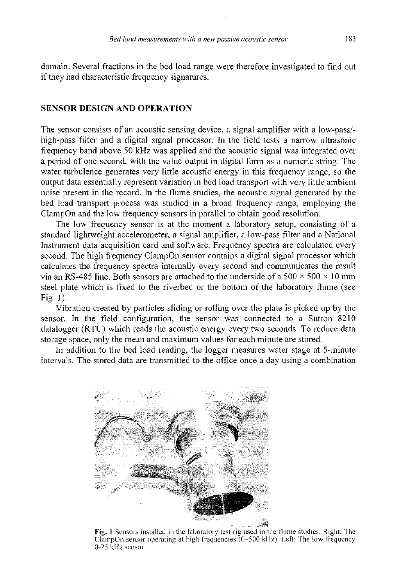domain. Several fractions in the bed load range were therefore investigated to find out if they had characteristic frequency signatures.

## **SENSOR DESIGN AND OPERATION**

The sensor consists of an acoustic sensing device, a signal amplifier with a low-pass/ high-pass filter and a digital signal processor. In the field tests a narrow ultrasonic frequency band above 50 kHz was applied and the acoustic signal was integrated over a period of one second, with the value output in digital form as a numeric string. The water turbulence generates very little acoustic energy in this frequency range, so the output data essentially represent variation in bed load transport with very little ambient noise present in the record. In the flume studies, the acoustic signal generated by the bed load transport process was studied in a broad frequency range, employing the ClampOn and the low frequency sensors in parallel to obtain good resolution.

The low frequency sensor is at the moment a laboratory setup, consisting of a standard lightweight accelerometer, a signal amplifier, a low-pass filter and a National Instrument data acquisition card and software. Frequency spectra are calculated every second. The high frequency ClampOn sensor contains a digital signal processor which calculates the frequency spectra internally every second and communicates the result via an RS-485 line. Both sensors are attached to the underside of a  $500 \times 500 \times 10$  mm steel plate which is fixed to the riverbed or the bottom of the laboratory flume (see Fig. 1).

Vibration created by particles sliding or rolling over the plate is picked up by the sensor. In the field configuration, the sensor was connected to a Sutron 8210 datalogger (RTU) which reads the acoustic energy every two seconds. To reduce data storage space, only the mean and maximum values for each minute are stored.

In addition to the bed load reading, the logger measures water stage at 5-minute intervals. The stored data are transmitted to the office once a day using a combination



Fig. **1** Sensors installed in the laboratory test rig used in the flume studies. Right: The ClampOn sensor operating at high frequencies (0-500 kHz). Left: The low frequency 0-25 kHz sensor.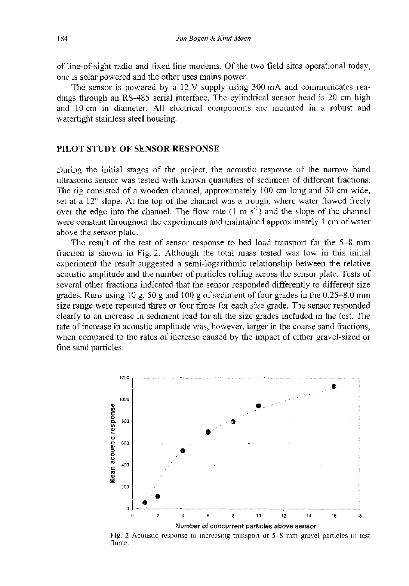of line-of-sight radio and fixed line modems. Of the two field sites operational today, one is solar powered and the other uses mains power.

The sensor is powered by a 12 V supply using 300 mA and communicates readings through an RS-485 serial interface. The cylindrical sensor head is 20 cm high and 10 cm in diameter. All electrical components are mounted in a robust and watertight stainless steel housing.

# **PILOT STUDY OF SENSOR RESPONSE**

During the initial stages of the project, the acoustic response of the narrow band ultrasonic sensor was tested with known quantities of sediment of different fractions. The rig consisted of a wooden channel, approximately 100 cm long and 50 cm wide, set at a 12° slope. At the top of the channel was a trough, where water flowed freely over the edge into the channel. The flow rate  $(1 \text{ m s}^{\prime})$  and the slope of the channel were constant throughout the experiments and maintained approximately 1 cm of water above the sensor plate.

The result of the test of sensor response to bed load transport for the 5-8 mm fraction is shown in Fig. 2. Although the total mass tested was low in this initial experiment the result suggested a semi-logarithmic relationship between the relative acoustic amplitude and the number of particles rolling across the sensor plate. Tests of several other fractions indicated that the sensor responded differently to different size grades. Runs using  $10 \text{ g}$ ,  $50 \text{ g}$  and  $100 \text{ g}$  of sediment of four grades in the 0.25–8.0 mm size range were repeated three or four times for each size grade. The sensor responded clearly to an increase in sediment load for all the size grades included in the test. The rate of increase in acoustic amplitude was, however, larger in the coarse sand fractions, when compared to the rates of increase caused by the impact of either gravel-sized or fine sand particles.



**Fig. 2** Acoustic response to increasing transport of 5-8 mm gravel particles in test flume.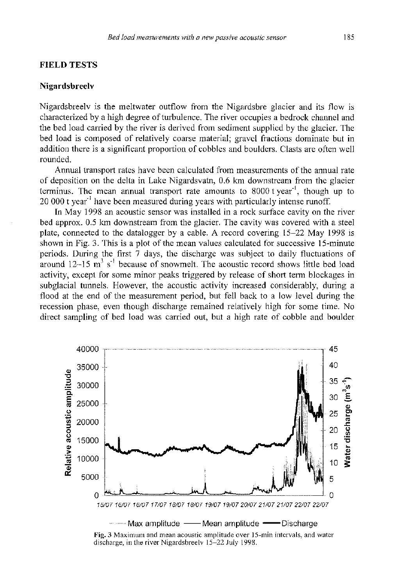## **FIELD TESTS**

#### **Nigardsbreelv**

Nigardsbreelv is the meltwater outflow from the Nigardsbre glacier and its flow is characterized by a high degree of turbulence. The river occupies a bedrock channel and the bed load carried by the river is derived from sediment supplied by the glacier. The bed load is composed of relatively coarse material; gravel fractions dominate but in addition there is a significant proportion of cobbles and boulders. Clasts are often well rounded.

Annual transport rates have been calculated from measurements of the annual rate of deposition on the delta in Lake Nigardsvatn, 0.6 km downstream from the glacier terminus. The mean annual transport rate amounts to 8000 t year', though up to 20 000 t year' have been measured during years with particularly intense runoff.

In May 1998 an acoustic sensor was installed in a rock surface cavity on the river bed approx. 0.5 km downstream from the glacier. The cavity was covered with a steel plate, connected to the datalogger by a cable. A record covering 15-22 May 1998 is shown in Fig. 3. This is a plot of the mean values calculated for successive 15-minute periods. During the first 7 days, the discharge was subject to daily fluctuations of around  $12{\sim}15$  m<sup>3</sup> s<sup>-1</sup> because of snowmelt. The acoustic record shows little bed load activity, except for some minor peaks triggered by release of short term blockages in subglacial tunnels. However, the acoustic activity increased considerably, during a flood at the end of the measurement period, but fell back to a low level during the recession phase, even though discharge remained relatively high for some time. No direct sampling of bed load was carried out, but a high rate of cobble and boulder



Fig. **3** Maximum and mean acoustic amplitude over 15-min intervals, and water discharge, in the river Nigardsbreelv 15-22 July 1998.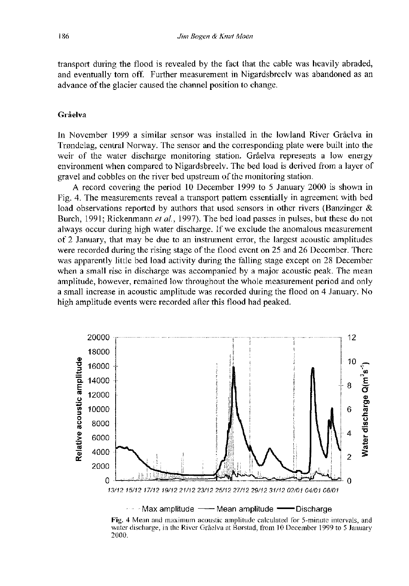transport during the flood is revealed by the fact that the cable was heavily abraded, and eventually torn off. Further measurement in Nigardsbreelv was abandoned as an advance of the glacier caused the channel position to change.

# Grâelva

In November 1999 a similar sensor was installed in the lowland River Grâelva in Trondelag, central Norway. The sensor and the corresponding plate were built into the weir of the water discharge monitoring station. Grâelva represents a low energy environment when compared to Nigardsbreelv. The bed load is derived from a layer of gravel and cobbles on the river bed upstream of the monitoring station.

A record covering the period 10 December 1999 to 5 January 2000 is shown in Fig. 4. The measurements reveal a transport pattern essentially in agreement with bed load observations reported by authors that used sensors in other rivers (Banzinger & Burch, 1991; Rickenmann *et al,* 1997). The bed load passes in pulses, but these do not always occur during high water discharge. If we exclude the anomalous measurement of 2 January, that may be due to an instrument error, the largest acoustic amplitudes were recorded during the rising stage of the flood event on 25 and 26 December. There was apparently little bed load activity during the falling stage except on 28 December when a small rise in discharge was accompanied by a major acoustic peak. The mean amplitude, however, remained low throughout the whole measurement period and only a small increase in acoustic amplitude was recorded during the flood on 4 January. No high amplitude events were recorded after this flood had peaked.



Fig. **4** Mean and maximum acoustic amplitude calculated for 5-minute intervals, and water discharge, in the River Grâelva at Borstad, from 10 December 1999 to 5 January 2000.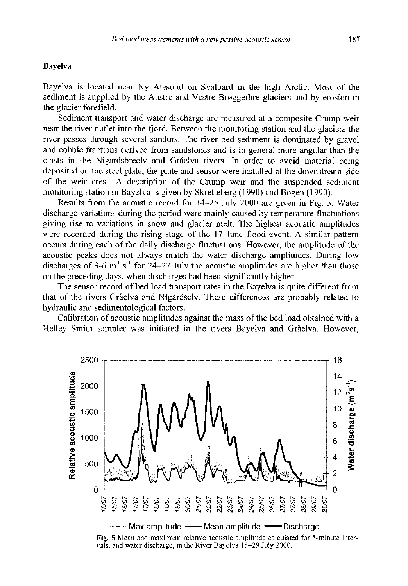#### **Bayelva**

Bayelva is located near Ny Âlesund on Svalbard in the high Arctic. Most of the sediment is supplied by the Austre and Vestre Broggerbre glaciers and by erosion in the glacier forefield.

Sediment transport and water discharge are measured at a composite Crump weir near the river outlet into the fjord. Between the monitoring station and the glaciers the river passes through several sandurs. The river bed sediment is dominated by gravel and cobble fractions derived from sandstones and is in general more angular than the clasts in the Nigardsbreelv and Grâelva rivers. In order to avoid material being deposited on the steel plate, the plate and sensor were installed at the downstream side of the weir crest. A description of the Crump weir and the suspended sediment monitoring station in Bayelva is given by Skretteberg (1990) and Bogen (1990).

Results from the acoustic record for 14-25 July 2000 are given in Fig. 5. Water discharge variations during the period were mainly caused by temperature fluctuations giving rise to variations in snow and glacier melt. The highest acoustic amplitudes were recorded during the rising stage of the 17 June flood event. A similar pattern occurs during each of the daily discharge fluctuations. However, the amplitude of the acoustic peaks does not always match the water discharge amplitudes. During low discharges of 3-6 m<sup>3</sup> s<sup>-1</sup> for 24–27 July the acoustic amplitudes are higher than those on the preceding days, when discharges had been significantly higher.

The sensor record of bed load transport rates in the Bayelva is quite different from that of the rivers Grâelva and Nigardselv. These differences are probably related to hydraulic and sedimentological factors.

Calibration of acoustic amplitudes against the mass of the bed load obtained with a Helley-Smith sampler was initiated in the rivers Bayelva and Grâelva. However,



Fig. **5** Mean and maximum relative acoustic amplitude calculated for 5-minute intervals, and water discharge, in the River Bayelva 15-29 July 2000.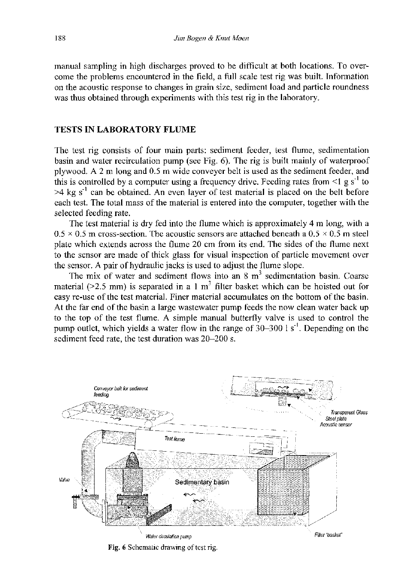manual sampling in high discharges proved to be difficult at both locations. To overcome the problems encountered in the field, a full scale test rig was built. Information on the acoustic response to changes in grain size, sediment load and particle roundness was thus obtained through experiments with this test rig in the laboratory.

# **TESTS IN LABORATORY FLUME**

The test rig consists of four main parts: sediment feeder, test flume, sedimentation basin and water recirculation pump (see Fig. 6). The rig is built mainly of waterproof plywood. A 2 m long and 0.5 m wide conveyer belt is used as the sediment feeder, and this is controlled by a computer using a frequency drive. Feeding rates from  $\leq 1$  g s<sup>-1</sup> to  $>4$  kg s<sup>-1</sup> can be obtained. An even layer of test material is placed on the belt before each test. The total mass of the material is entered into the computer, together with the selected feeding rate.

The test material is dry fed into the flume which is approximately 4 m long, with a  $0.5 \times 0.5$  m cross-section. The acoustic sensors are attached beneath a  $0.5 \times 0.5$  m steel plate which extends across the flume 20 cm from its end. The sides of the flume next to the sensor are made of thick glass for visual inspection of particle movement over the sensor. A pair of hydraulic jacks is used to adjust the flume slope.

The mix of water and sediment flows into an 8 m<sup>3</sup> sedimentation basin. Coarse material  $(>=2.5 \text{ mm})$  is separated in a 1 m<sup>3</sup> filter basket which can be hoisted out for easy re-use of the test material. Finer material accumulates on the bottom of the basin. At the far end of the basin a large wastewater pump feeds the now clean water back up to the top of the test flume. A simple manual butterfly valve is used to control the pump outlet, which yields a water flow in the range of  $30-300$  I s<sup>-1</sup>. Depending on the sediment feed rate, the test duration was 20-200 s.



**Fig. 6** Schematic drawing of test rig.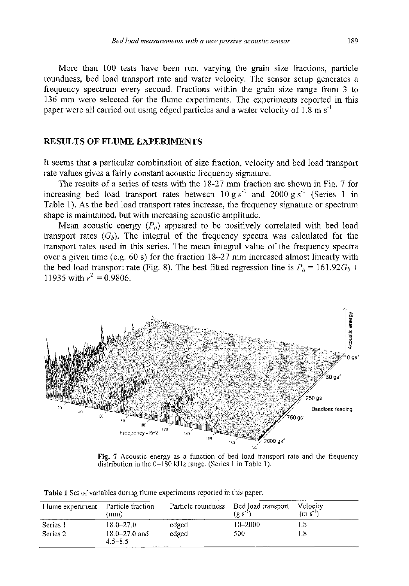More than 100 tests have been run, varying the grain size fractions, particle roundness, bed load transport rate and water velocity. The sensor setup generates a frequency spectrum every second. Fractions within the grain size range from 3 to 136 mm were selected for the flume experiments. The experiments reported in this paper were all carried out using edged particles and a water velocity of  $1.8 \text{ m s}^{-1}$ 

## **RESULTS OF FLUME EXPERIMENTS**

It seems that a particular combination of size fraction, velocity and bed load transport rate values gives a fairly constant acoustic frequency signature.

The results of a series of tests with the 18-27 mm fraction are shown in Fig. 7 for increasing bed load transport rates between  $10 \text{ g s}^{\text{-}1}$  and  $2000 \text{ g s}^{\text{-}1}$  (Series 1 in Table 1). As the bed load transport rates increase, the frequency signature or spectrum shape is maintained, but with increasing acoustic amplitude.

Mean acoustic energy  $(P<sub>a</sub>)$  appeared to be positively correlated with bed load transport rates  $(G_b)$ . The integral of the frequency spectra was calculated for the transport rates used in this series. The mean integral value of the frequency spectra over a given time (e.g. 60 s) for the fraction 18-27 mm increased almost linearly with the bed load transport rate (Fig. 8). The best fitted regression line is  $P_a = 161.92G_b +$ 11935 with  $r^2 = 0.9806$ .



Fig. **7** Acoustic energy as a function of bed load transport rate and the frequency distribution in the 0-180 kHz range. (Series 1 in Table 1).

|  |  | <b>Table 1</b> Set of variables during flume experiments reported in this paper. |  |
|--|--|----------------------------------------------------------------------------------|--|
|  |  |                                                                                  |  |

| Flume experiment | Particle fraction<br>(mm)        | Particle roundness | Bed load transport<br>$(g s-1)$ | Velocity<br>$(m s-1)$ |
|------------------|----------------------------------|--------------------|---------------------------------|-----------------------|
| Series 1         | $18.0 - 27.0$                    | edged              | 10-2000                         | .8                    |
| Series 2         | $18.0 - 27.0$ and<br>$4.5 - 8.5$ | edged              | 500                             | -8                    |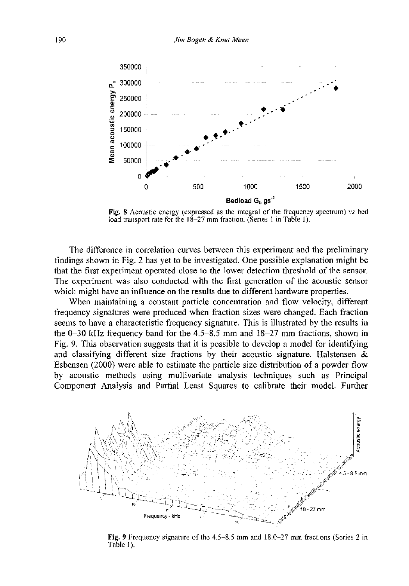

Fig. **8** Acoustic energy (expressed as the integral of the frequency spectrum) *vs* bed load transport rate for the 18-27 mm fraction. (Series 1 in Table 1).

The difference in correlation curves between this experiment and the preliminary findings shown in Fig. 2 has yet to be investigated. One possible explanation might be that the first experiment operated close to the lower detection threshold of the sensor. The experiment was also conducted with the first generation of the acoustic sensor which might have an influence on the results due to different hardware properties.

When maintaining a constant particle concentration and flow velocity, different frequency signatures were produced when fraction sizes were changed. Each fraction seems to have a characteristic frequency signature. This is illustrated by the results in the 0-30 kHz frequency band for the 4.5-8.5 mm and 18-27 mm fractions, shown in Fig. 9. This observation suggests that it is possible to develop a model for identifying and classifying different size fractions by their acoustic signature. Halstensen  $\&$ Esbensen (2000) were able to estimate the particle size distribution of a powder flow by acoustic methods using multivariate analysis techniques such as Principal Component Analysis and Partial Least Squares to calibrate their model. Further



Fig. **9** Frequency signature of the 4.5-8.5 mm and 18.0-27 mm fractions (Series 2 in Table 1).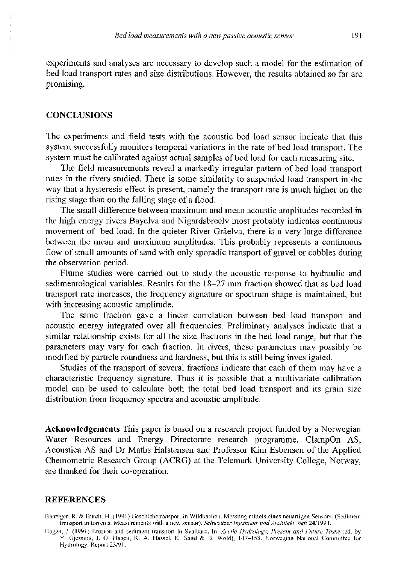experiments and analyses are necessary to develop such a model for the estimation of bed load transport rates and size distributions. However, the results obtained so far are promising.

#### **CONCLUSIONS**

The experiments and field tests with the acoustic bed load sensor indicate that this system successfully monitors temporal variations in the rate of bed load transport. The system must be calibrated against actual samples of bed load for each measuring site.

The field measurements reveal a markedly irregular partem of bed load transport rates in the rivers studied. There is some similarity to suspended load transport in the way that a hysteresis effect is present, namely the transport rate is much higher on the rising stage than on the falling stage of a flood.

The small difference between maximum and mean acoustic amplitudes recorded in the high energy rivers Bayelva and Nigardsbreelv most probably indicates continuous movement of bed load. In the quieter River Grâelva, there is a very large difference between the mean and maximum amplitudes. This probably represents a continuous flow of small amounts of sand with only sporadic transport of gravel or cobbles during the observation period.

Flume studies were carried out to study the acoustic response to hydraulic and sedimentological variables. Results for the 18-27 mm fraction showed that as bed load transport rate increases, the frequency signature or spectrum shape is maintained, but with increasing acoustic amplitude.

The same fraction gave a linear correlation between bed load transport and acoustic energy integrated over all frequencies. Preliminary analyses indicate that a similar relationship exists for all the size fractions in the bed load range, but that the parameters may vary for each fraction. In rivers, these parameters may possibly be modified by particle roundness and hardness, but this is still being investigated.

Studies of the transport of several fractions indicate that each of them may have a characteristic frequency signature. Thus it is possible that a multivariate calibration model can be used to calculate both the total bed load transport and its grain size distribution from frequency spectra and acoustic amplitude.

**Acknowledgements** This paper is based on a research project funded by a Norwegian Water Resources and Energy Directorate research programme. ClampOn AS, Acoustica AS and Dr Maths Halstensen and Professor Kim Esbensen of the Applied Chemometric Research Group (ACRG) at the Telemark University College, Norway, are thanked for their co-operation.

## **REFERENCES**

Banziger, R. & Burch, H. (1991) Geschiebetransport in Wildbachen. Messung mittels eines neuartigen Sensors. (Sediment transport in torrents. Measurements with a new sensor). Schweitzer Ingenieur und Architekt, heft 24/1991.

Bogen, J. (1991) Erosion and sediment transport in Svalbard. In: Arctic Hydrology, Present and Future Tasks (ed. by Y. Gjessing, J. O. Hagen, K. A. Hassel, K. Sand & B. Wold), 147-158. Norwegian National Committee for Hydrology. Report 23/91.